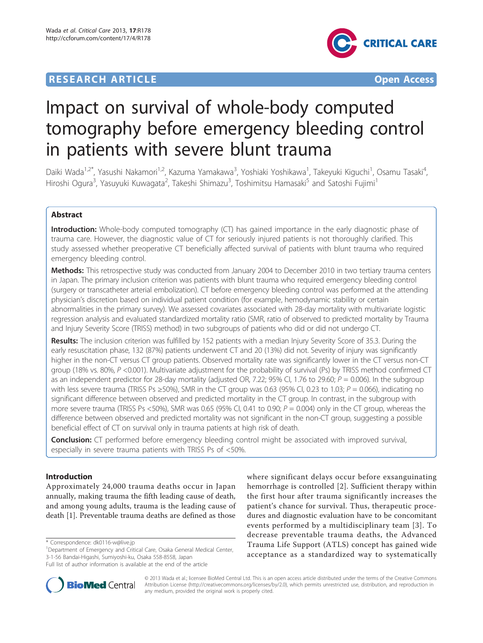# **RESEARCH ARTICLE External Structure of the Contract Open Access**



# Impact on survival of whole-body computed tomography before emergency bleeding control in patients with severe blunt trauma

Daiki Wada<sup>1,2\*</sup>, Yasushi Nakamori<sup>1,2</sup>, Kazuma Yamakawa<sup>3</sup>, Yoshiaki Yoshikawa<sup>1</sup>, Takeyuki Kiguchi<sup>1</sup>, Osamu Tasaki<sup>4</sup> , Hiroshi Ogura<sup>3</sup>, Yasuyuki Kuwagata<sup>2</sup>, Takeshi Shimazu<sup>3</sup>, Toshimitsu Hamasaki<sup>5</sup> and Satoshi Fujimi<sup>1</sup>

# Abstract

Introduction: Whole-body computed tomography (CT) has gained importance in the early diagnostic phase of trauma care. However, the diagnostic value of CT for seriously injured patients is not thoroughly clarified. This study assessed whether preoperative CT beneficially affected survival of patients with blunt trauma who required emergency bleeding control.

Methods: This retrospective study was conducted from January 2004 to December 2010 in two tertiary trauma centers in Japan. The primary inclusion criterion was patients with blunt trauma who required emergency bleeding control (surgery or transcatheter arterial embolization). CT before emergency bleeding control was performed at the attending physician's discretion based on individual patient condition (for example, hemodynamic stability or certain abnormalities in the primary survey). We assessed covariates associated with 28-day mortality with multivariate logistic regression analysis and evaluated standardized mortality ratio (SMR, ratio of observed to predicted mortality by Trauma and Injury Severity Score (TRISS) method) in two subgroups of patients who did or did not undergo CT.

Results: The inclusion criterion was fulfilled by 152 patients with a median Injury Severity Score of 35.3. During the early resuscitation phase, 132 (87%) patients underwent CT and 20 (13%) did not. Severity of injury was significantly higher in the non-CT versus CT group patients. Observed mortality rate was significantly lower in the CT versus non-CT group (18% vs. 80%, P <0.001). Multivariate adjustment for the probability of survival (Ps) by TRISS method confirmed CT as an independent predictor for 28-day mortality (adjusted OR, 7.22; 95% CI, 1.76 to 29.60;  $P = 0.006$ ). In the subgroup with less severe trauma (TRISS Ps  $\geq$  50%), SMR in the CT group was 0.63 (95% CI, 0.23 to 1.03; P = 0.066), indicating no significant difference between observed and predicted mortality in the CT group. In contrast, in the subgroup with more severe trauma (TRISS Ps <50%), SMR was 0.65 (95% CI, 0.41 to 0.90;  $P = 0.004$ ) only in the CT group, whereas the difference between observed and predicted mortality was not significant in the non-CT group, suggesting a possible beneficial effect of CT on survival only in trauma patients at high risk of death.

**Conclusion:** CT performed before emergency bleeding control might be associated with improved survival, especially in severe trauma patients with TRISS Ps of <50%.

# Introduction

Approximately 24,000 trauma deaths occur in Japan annually, making trauma the fifth leading cause of death, and among young adults, trauma is the leading cause of death [\[1](#page-6-0)]. Preventable trauma deaths are defined as those

<sup>1</sup>Department of Emergency and Critical Care, Osaka General Medical Center, 3-1-56 Bandai-Higashi, Sumiyoshi-ku, Osaka 558-8558, Japan

where significant delays occur before exsanguinating hemorrhage is controlled [[2](#page-6-0)]. Sufficient therapy within the first hour after trauma significantly increases the patient's chance for survival. Thus, therapeutic procedures and diagnostic evaluation have to be concomitant events performed by a multidisciplinary team [[3](#page-6-0)]. To decrease preventable trauma deaths, the Advanced Trauma Life Support (ATLS) concept has gained wide acceptance as a standardized way to systematically



© 2013 Wada et al.; licensee BioMed Central Ltd. This is an open access article distributed under the terms of the Creative Commons Attribution License [\(http://creativecommons.org/licenses/by/2.0](http://creativecommons.org/licenses/by/2.0)), which permits unrestricted use, distribution, and reproduction in any medium, provided the original work is properly cited.

<sup>\*</sup> Correspondence: [dk0116-w@live.jp](mailto:dk0116-w@live.jp)

Full list of author information is available at the end of the article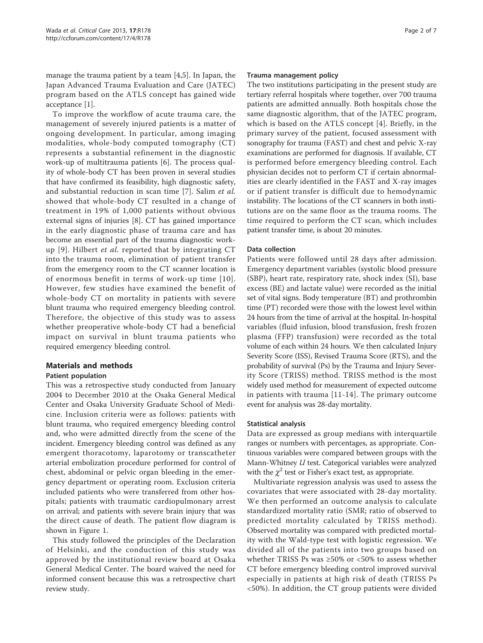manage the trauma patient by a team [[4,5\]](#page-6-0). In Japan, the Japan Advanced Trauma Evaluation and Care (JATEC) program based on the ATLS concept has gained wide acceptance [[1\]](#page-6-0).

To improve the workflow of acute trauma care, the management of severely injured patients is a matter of ongoing development. In particular, among imaging modalities, whole-body computed tomography (CT) represents a substantial refinement in the diagnostic work-up of multitrauma patients [\[6](#page-6-0)]. The process quality of whole-body CT has been proven in several studies that have confirmed its feasibility, high diagnostic safety, and substantial reduction in scan time [[7](#page-6-0)]. Salim et al. showed that whole-body CT resulted in a change of treatment in 19% of 1,000 patients without obvious external signs of injuries [[8\]](#page-6-0). CT has gained importance in the early diagnostic phase of trauma care and has become an essential part of the trauma diagnostic workup  $[9]$  $[9]$  $[9]$ . Hilbert *et al.* reported that by integrating CT into the trauma room, elimination of patient transfer from the emergency room to the CT scanner location is of enormous benefit in terms of work-up time [[10\]](#page-6-0). However, few studies have examined the benefit of whole-body CT on mortality in patients with severe blunt trauma who required emergency bleeding control. Therefore, the objective of this study was to assess whether preoperative whole-body CT had a beneficial impact on survival in blunt trauma patients who required emergency bleeding control.

# Materials and methods

# Patient population

This was a retrospective study conducted from January 2004 to December 2010 at the Osaka General Medical Center and Osaka University Graduate School of Medicine. Inclusion criteria were as follows: patients with blunt trauma, who required emergency bleeding control and, who were admitted directly from the scene of the incident. Emergency bleeding control was defined as any emergent thoracotomy, laparotomy or transcatheter arterial embolization procedure performed for control of chest, abdominal or pelvic organ bleeding in the emergency department or operating room. Exclusion criteria included patients who were transferred from other hospitals; patients with traumatic cardiopulmonary arrest on arrival; and patients with severe brain injury that was the direct cause of death. The patient flow diagram is shown in Figure [1](#page-2-0).

This study followed the principles of the Declaration of Helsinki, and the conduction of this study was approved by the institutional review board at Osaka General Medical Center. The board waived the need for informed consent because this was a retrospective chart review study.

#### Trauma management policy

The two institutions participating in the present study are tertiary referral hospitals where together, over 700 trauma patients are admitted annually. Both hospitals chose the same diagnostic algorithm, that of the JATEC program, which is based on the ATLS concept [\[4](#page-6-0)]. Briefly, in the primary survey of the patient, focused assessment with sonography for trauma (FAST) and chest and pelvic X-ray examinations are performed for diagnosis. If available, CT is performed before emergency bleeding control. Each physician decides not to perform CT if certain abnormalities are clearly identified in the FAST and X-ray images or if patient transfer is difficult due to hemodynamic instability. The locations of the CT scanners in both institutions are on the same floor as the trauma rooms. The time required to perform the CT scan, which includes patient transfer time, is about 20 minutes.

### Data collection

Patients were followed until 28 days after admission. Emergency department variables (systolic blood pressure (SBP), heart rate, respiratory rate, shock index (SI), base excess (BE) and lactate value) were recorded as the initial set of vital signs. Body temperature (BT) and prothrombin time (PT) recorded were those with the lowest level within 24 hours from the time of arrival at the hospital. In-hospital variables (fluid infusion, blood transfusion, fresh frozen plasma (FFP) transfusion) were recorded as the total volume of each within 24 hours. We then calculated Injury Severity Score (ISS), Revised Trauma Score (RTS), and the probability of survival (Ps) by the Trauma and Injury Severity Score (TRISS) method. TRISS method is the most widely used method for measurement of expected outcome in patients with trauma [[11](#page-6-0)-[14](#page-6-0)]. The primary outcome event for analysis was 28-day mortality.

# Statistical analysis

Data are expressed as group medians with interquartile ranges or numbers with percentages, as appropriate. Continuous variables were compared between groups with the Mann-Whitney U test. Categorical variables were analyzed with the  $\chi^2$  test or Fisher's exact test, as appropriate.

Multivariate regression analysis was used to assess the covariates that were associated with 28-day mortality. We then performed an outcome analysis to calculate standardized mortality ratio (SMR; ratio of observed to predicted mortality calculated by TRISS method). Observed mortality was compared with predicted mortality with the Wald-type test with logistic regression. We divided all of the patients into two groups based on whether TRISS Ps was  $\geq 50\%$  or <50% to assess whether CT before emergency bleeding control improved survival especially in patients at high risk of death (TRISS Ps <50%). In addition, the CT group patients were divided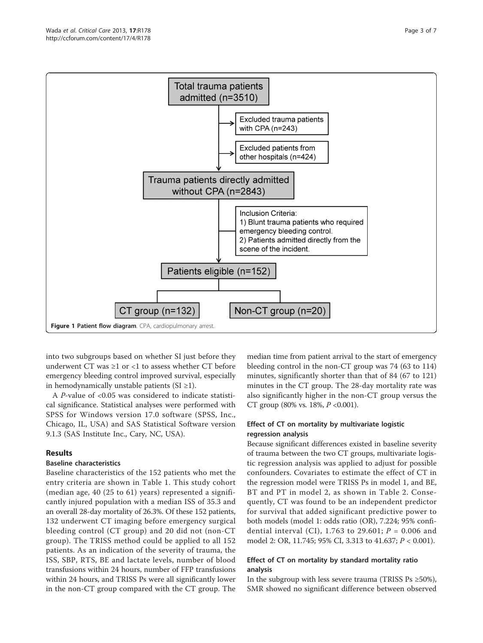<span id="page-2-0"></span>

into two subgroups based on whether SI just before they underwent CT was  $\geq 1$  or <1 to assess whether CT before emergency bleeding control improved survival, especially in hemodynamically unstable patients  $(SI \geq 1)$ .

A P-value of <0.05 was considered to indicate statistical significance. Statistical analyses were performed with SPSS for Windows version 17.0 software (SPSS, Inc., Chicago, IL, USA) and SAS Statistical Software version 9.1.3 (SAS Institute Inc., Cary, NC, USA).

# Results

# Baseline characteristics

Baseline characteristics of the 152 patients who met the entry criteria are shown in Table [1](#page-3-0). This study cohort (median age, 40 (25 to 61) years) represented a significantly injured population with a median ISS of 35.3 and an overall 28-day mortality of 26.3%. Of these 152 patients, 132 underwent CT imaging before emergency surgical bleeding control (CT group) and 20 did not (non-CT group). The TRISS method could be applied to all 152 patients. As an indication of the severity of trauma, the ISS, SBP, RTS, BE and lactate levels, number of blood transfusions within 24 hours, number of FFP transfusions within 24 hours, and TRISS Ps were all significantly lower in the non-CT group compared with the CT group. The

median time from patient arrival to the start of emergency bleeding control in the non-CT group was 74 (63 to 114) minutes, significantly shorter than that of 84 (67 to 121) minutes in the CT group. The 28-day mortality rate was also significantly higher in the non-CT group versus the CT group (80% vs. 18%,  $P < 0.001$ ).

# Effect of CT on mortality by multivariate logistic regression analysis

Because significant differences existed in baseline severity of trauma between the two CT groups, multivariate logistic regression analysis was applied to adjust for possible confounders. Covariates to estimate the effect of CT in the regression model were TRISS Ps in model 1, and BE, BT and PT in model 2, as shown in Table [2.](#page-3-0) Consequently, CT was found to be an independent predictor for survival that added significant predictive power to both models (model 1: odds ratio (OR), 7.224; 95% confidential interval (CI), 1.763 to 29.601;  $P = 0.006$  and model 2: OR, 11.745; 95% CI, 3.313 to 41.637; P < 0.001).

# Effect of CT on mortality by standard mortality ratio analysis

In the subgroup with less severe trauma (TRISS Ps  $\geq$ 50%), SMR showed no significant difference between observed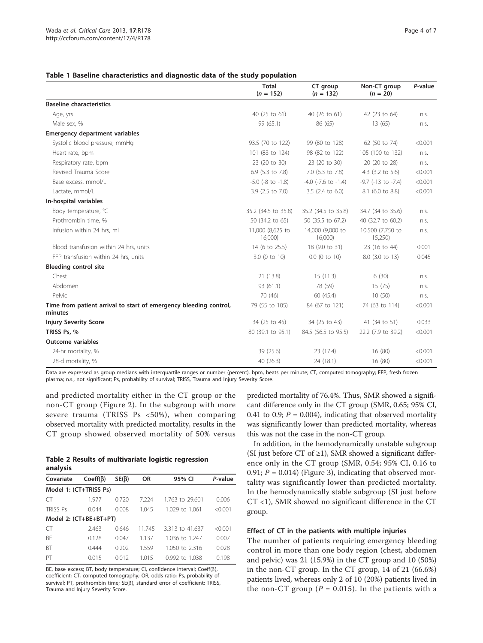#### <span id="page-3-0"></span>Table 1 Baseline characteristics and diagnostic data of the study population

|                                                                              | <b>Total</b><br>$(n = 152)$ | CT group<br>$(n = 132)$     | Non-CT group<br>$(n = 20)$ | P-value |
|------------------------------------------------------------------------------|-----------------------------|-----------------------------|----------------------------|---------|
| <b>Baseline characteristics</b>                                              |                             |                             |                            |         |
| Age, yrs                                                                     | 40 (25 to 61)               | 40 (26 to 61)               | 42 (23 to 64)              | n.s.    |
| Male sex, %                                                                  | 99 (65.1)                   | 86 (65)                     | 13(65)                     | n.s.    |
| <b>Emergency department variables</b>                                        |                             |                             |                            |         |
| Systolic blood pressure, mmHg                                                | 93.5 (70 to 122)            | 99 (80 to 128)              | 62 (50 to 74)              | < 0.001 |
| Heart rate, bpm                                                              | 101 (83 to 124)             | 98 (82 to 122)              | 105 (100 to 132)           | n.s.    |
| Respiratory rate, bpm                                                        | 23 (20 to 30)               | 23 (20 to 30)               | 20 (20 to 28)              | n.s.    |
| Revised Trauma Score                                                         | 6.9 (5.3 to 7.8)            | 7.0 (6.3 to 7.8)            | 4.3 (3.2 to 5.6)           | < 0.001 |
| Base excess, mmol/L                                                          | $-5.0$ ( $-8$ to $-1.8$ )   | $-4.0$ ( $-7.6$ to $-1.4$ ) | $-9.7$ ( $-13$ to $-7.4$ ) | < 0.001 |
| Lactate, mmol/L                                                              | 3.9 (2.5 to 7.0)            | $3.5$ (2.4 to 6.0)          | 8.1 (6.0 to 8.8)           | < 0.001 |
| In-hospital variables                                                        |                             |                             |                            |         |
| Body temperature, °C                                                         | 35.2 (34.5 to 35.8)         | 35.2 (34.5 to 35.8)         | 34.7 (34 to 35.6)          | n.s.    |
| Prothrombin time, %                                                          | 50 (34.2 to 65)             | 50 (35.5 to 67.2)           | 40 (32.7 to 60.2)          | n.s.    |
| Infusion within 24 hrs, ml                                                   | 11,000 (8,625 to<br>16,000) | 14,000 (9,000 to<br>16,000  | 10,500 (7,750 to<br>15,250 | n.s.    |
| Blood transfusion within 24 hrs, units                                       | 14 (6 to 25.5)              | 18 (9.0 to 31)              | 23 (16 to 44)              | 0.001   |
| FFP transfusion within 24 hrs, units                                         | 3.0 (0 to 10)               | $0.0$ (0 to 10)             | 8.0 (3.0 to 13)            | 0.045   |
| <b>Bleeding control site</b>                                                 |                             |                             |                            |         |
| Chest                                                                        | 21 (13.8)                   | 15(11.3)                    | 6(30)                      | n.s.    |
| Abdomen                                                                      | 93 (61.1)                   | 78 (59)                     | 15(75)                     | n.s.    |
| Pelvic                                                                       | 70 (46)                     | 60 (45.4)                   | 10(50)                     | n.s.    |
| Time from patient arrival to start of emergency bleeding control,<br>minutes | 79 (55 to 105)              | 84 (67 to 121)              | 74 (63 to 114)             | < 0.001 |
| <b>Injury Severity Score</b>                                                 | 34 (25 to 45)               | 34 (25 to 43)               | 41 (34 to 51)              | 0.033   |
| TRISS Ps, %                                                                  | 80 (39.1 to 95.1)           | 84.5 (56.5 to 95.5)         | 22.2 (7.9 to 39.2)         | < 0.001 |
| <b>Outcome variables</b>                                                     |                             |                             |                            |         |
| 24-hr mortality, %                                                           | 39 (25.6)                   | 23 (17.4)                   | 16(80)                     | < 0.001 |
| 28-d mortality, %                                                            | 40 (26.3)                   | 24 (18.1)                   | 16 (80)                    | < 0.001 |

Data are expressed as group medians with interquartile ranges or number (percent). bpm, beats per minute; CT, computed tomography; FFP, fresh frozen plasma; n.s., not significant; Ps, probability of survival; TRISS, Trauma and Injury Severity Score.

and predicted mortality either in the CT group or the non-CT group (Figure [2](#page-4-0)). In the subgroup with more severe trauma (TRISS Ps <50%), when comparing observed mortality with predicted mortality, results in the CT group showed observed mortality of 50% versus

|          |  | Table 2 Results of multivariate logistic regression |  |
|----------|--|-----------------------------------------------------|--|
| analysis |  |                                                     |  |

| Covariate              | $Coeff(\beta)$ | SE(B) | <b>OR</b> | 95% CI          | P-value |  |  |  |
|------------------------|----------------|-------|-----------|-----------------|---------|--|--|--|
| Model 1: (CT+TRISS Ps) |                |       |           |                 |         |  |  |  |
| CT                     | 1.977          | 0.720 | 7.224     | 1.763 to 29.601 | 0.006   |  |  |  |
| TRISS Ps               | 0.044          | 0.008 | 1.045     | 1.029 to 1.061  | < 0.001 |  |  |  |
| Model 2: (CT+BE+BT+PT) |                |       |           |                 |         |  |  |  |
| CT                     | 2.463          | 0.646 | 11.745    | 3.313 to 41.637 | < 0.001 |  |  |  |
| BE                     | 0.128          | 0.047 | 1.137     | 1.036 to 1.247  | 0.007   |  |  |  |
| <b>BT</b>              | 0.444          | 0.202 | 1.559     | 1.050 to 2.316  | 0.028   |  |  |  |
| PT                     | 0.015          | 0.012 | 1015      | 0.992 to 1.038  | 0.198   |  |  |  |
|                        |                |       |           |                 |         |  |  |  |

BE, base excess; BT, body temperature; CI, confidence interval; Coeff( $\beta$ ), coefficient; CT, computed tomography; OR, odds ratio; Ps, probability of survival; PT, prothrombin time; SE( $\beta$ ), standard error of coefficient; TRISS, Trauma and Injury Severity Score.

predicted mortality of 76.4%. Thus, SMR showed a significant difference only in the CT group (SMR, 0.65; 95% CI, 0.41 to 0.9;  $P = 0.004$ ), indicating that observed mortality was significantly lower than predicted mortality, whereas this was not the case in the non-CT group.

In addition, in the hemodynamically unstable subgroup (SI just before CT of  $\geq$ 1), SMR showed a significant difference only in the CT group (SMR, 0.54; 95% CI, 0.16 to 0.91;  $P = 0.014$ ) (Figure [3](#page-4-0)), indicating that observed mortality was significantly lower than predicted mortality. In the hemodynamically stable subgroup (SI just before CT <1), SMR showed no significant difference in the CT group.

#### Effect of CT in the patients with multiple injuries

The number of patients requiring emergency bleeding control in more than one body region (chest, abdomen and pelvic) was 21 (15.9%) in the CT group and 10 (50%) in the non-CT group. In the CT group, 14 of 21 (66.6%) patients lived, whereas only 2 of 10 (20%) patients lived in the non-CT group ( $P = 0.015$ ). In the patients with a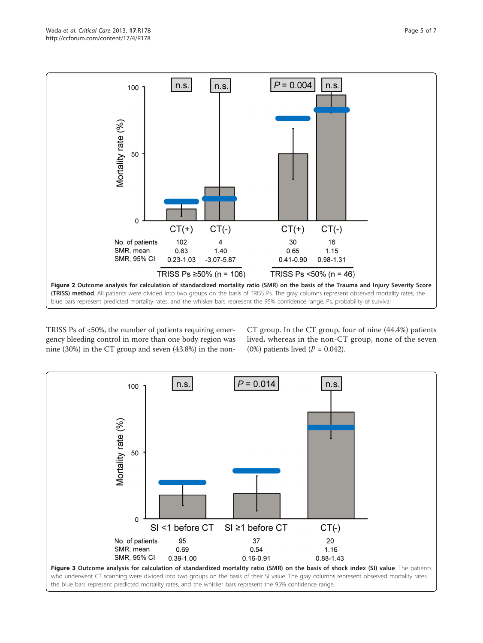<span id="page-4-0"></span>

TRISS Ps of <50%, the number of patients requiring emergency bleeding control in more than one body region was nine (30%) in the CT group and seven (43.8%) in the nonCT group. In the CT group, four of nine (44.4%) patients lived, whereas in the non-CT group, none of the seven (0%) patients lived  $(P = 0.042)$ .

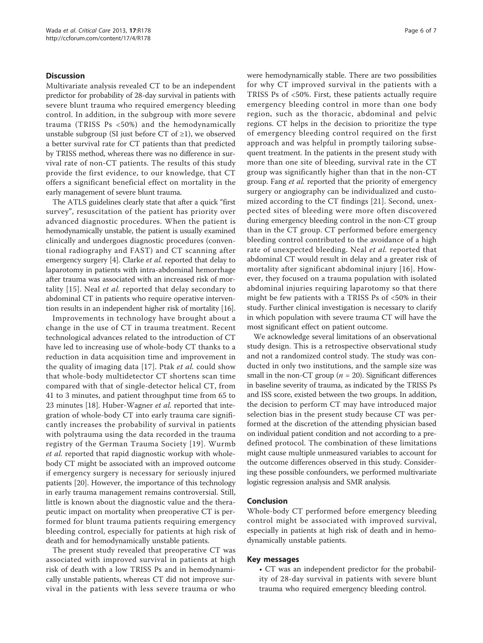#### **Discussion**

Multivariate analysis revealed CT to be an independent predictor for probability of 28-day survival in patients with severe blunt trauma who required emergency bleeding control. In addition, in the subgroup with more severe trauma (TRISS Ps <50%) and the hemodynamically unstable subgroup (SI just before CT of  $\geq$ 1), we observed a better survival rate for CT patients than that predicted by TRISS method, whereas there was no difference in survival rate of non-CT patients. The results of this study provide the first evidence, to our knowledge, that CT offers a significant beneficial effect on mortality in the early management of severe blunt trauma.

The ATLS guidelines clearly state that after a quick "first survey", resuscitation of the patient has priority over advanced diagnostic procedures. When the patient is hemodynamically unstable, the patient is usually examined clinically and undergoes diagnostic procedures (conventional radiography and FAST) and CT scanning after emergency surgery [\[4](#page-6-0)]. Clarke *et al.* reported that delay to laparotomy in patients with intra-abdominal hemorrhage after trauma was associated with an increased risk of mor-tality [[15](#page-6-0)]. Neal et al. reported that delay secondary to abdominal CT in patients who require operative intervention results in an independent higher risk of mortality [[16](#page-6-0)].

Improvements in technology have brought about a change in the use of CT in trauma treatment. Recent technological advances related to the introduction of CT have led to increasing use of whole-body CT thanks to a reduction in data acquisition time and improvement in the quality of imaging data [[17\]](#page-6-0). Ptak et al. could show that whole-body multidetector CT shortens scan time compared with that of single-detector helical CT, from 41 to 3 minutes, and patient throughput time from 65 to 23 minutes [\[18](#page-6-0)]. Huber-Wagner et al. reported that integration of whole-body CT into early trauma care significantly increases the probability of survival in patients with polytrauma using the data recorded in the trauma registry of the German Trauma Society [[19\]](#page-6-0). Wurmb et al. reported that rapid diagnostic workup with wholebody CT might be associated with an improved outcome if emergency surgery is necessary for seriously injured patients [[20](#page-6-0)]. However, the importance of this technology in early trauma management remains controversial. Still, little is known about the diagnostic value and the therapeutic impact on mortality when preoperative CT is performed for blunt trauma patients requiring emergency bleeding control, especially for patients at high risk of death and for hemodynamically unstable patients.

The present study revealed that preoperative CT was associated with improved survival in patients at high risk of death with a low TRISS Ps and in hemodynamically unstable patients, whereas CT did not improve survival in the patients with less severe trauma or who were hemodynamically stable. There are two possibilities for why CT improved survival in the patients with a TRISS Ps of <50%. First, these patients actually require emergency bleeding control in more than one body region, such as the thoracic, abdominal and pelvic regions. CT helps in the decision to prioritize the type of emergency bleeding control required on the first approach and was helpful in promptly tailoring subsequent treatment. In the patients in the present study with more than one site of bleeding, survival rate in the CT group was significantly higher than that in the non-CT group. Fang et al. reported that the priority of emergency surgery or angiography can be individualized and customized according to the CT findings [[21\]](#page-6-0). Second, unexpected sites of bleeding were more often discovered during emergency bleeding control in the non-CT group than in the CT group. CT performed before emergency bleeding control contributed to the avoidance of a high rate of unexpected bleeding. Neal et al. reported that abdominal CT would result in delay and a greater risk of mortality after significant abdominal injury [[16](#page-6-0)]. However, they focused on a trauma population with isolated abdominal injuries requiring laparotomy so that there might be few patients with a TRISS Ps of <50% in their study. Further clinical investigation is necessary to clarify in which population with severe trauma CT will have the most significant effect on patient outcome.

We acknowledge several limitations of an observational study design. This is a retrospective observational study and not a randomized control study. The study was conducted in only two institutions, and the sample size was small in the non-CT group ( $n = 20$ ). Significant differences in baseline severity of trauma, as indicated by the TRISS Ps and ISS score, existed between the two groups. In addition, the decision to perform CT may have introduced major selection bias in the present study because CT was performed at the discretion of the attending physician based on individual patient condition and not according to a predefined protocol. The combination of these limitations might cause multiple unmeasured variables to account for the outcome differences observed in this study. Considering these possible confounders, we performed multivariate logistic regression analysis and SMR analysis.

#### Conclusion

Whole-body CT performed before emergency bleeding control might be associated with improved survival, especially in patients at high risk of death and in hemodynamically unstable patients.

#### Key messages

• CT was an independent predictor for the probability of 28-day survival in patients with severe blunt trauma who required emergency bleeding control.